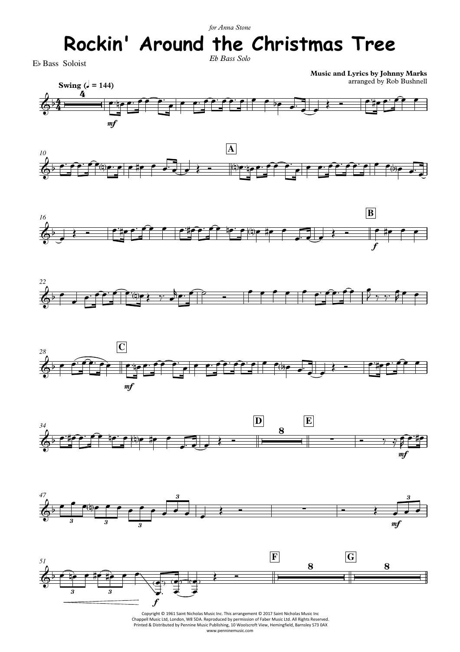## *Eb Bass Solo for Anna Stone* **Rockin' Around the Christmas Tree**

Eb Bass Soloist

**Music and Lyrics by Johnny Marks** arranged by Rob Bushnell

















Copyright © 1961 Saint Nicholas Music Inc. This arrangement © 2017 Saint Nicholas Music Inc Chappell Music Ltd, London, W8 5DA. Reproduced by permission of Faber Music Ltd. All Rights Reserved. Printed & Distributed by Pennine Music Publishing, 10 Woolscroft View, Hemingfield, Barnsley S73 0AX www.penninemusic.com